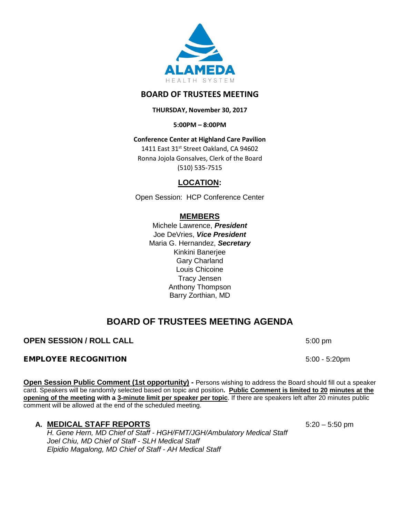

# **BOARD OF TRUSTEES MEETING**

**THURSDAY, November 30, 2017**

**5:00PM – 8:00PM**

**Conference Center at Highland Care Pavilion**

1411 East 31st Street Oakland, CA 94602 Ronna Jojola Gonsalves, Clerk of the Board (510) 535-7515

# **LOCATION:**

Open Session: HCP Conference Center

# **MEMBERS**

Michele Lawrence, *President*  Joe DeVries, *Vice President*  Maria G. Hernandez, *Secretary* Kinkini Banerjee Gary Charland Louis Chicoine Tracy Jensen Anthony Thompson Barry Zorthian, MD

# **BOARD OF TRUSTEES MEETING AGENDA**

# **OPEN SESSION / ROLL CALL** 5:00 pm

## EMPLOYEE RECOGNITION 5:00 - 5:20pm

**Open Session Public Comment (1st opportunity) -** Persons wishing to address the Board should fill out a speaker card. Speakers will be randomly selected based on topic and position**. Public Comment is limited to 20 minutes at the opening of the meeting with a 3-minute limit per speaker per topic**. If there are speakers left after 20 minutes public comment will be allowed at the end of the scheduled meeting.

## **A. MEDICAL STAFF REPORTS** 5:20 – 5:50 pm

*H. Gene Hern, MD Chief of Staff - HGH/FMT/JGH/Ambulatory Medical Staff Joel Chiu, MD Chief of Staff - SLH Medical Staff Elpidio Magalong, MD Chief of Staff - AH Medical Staff*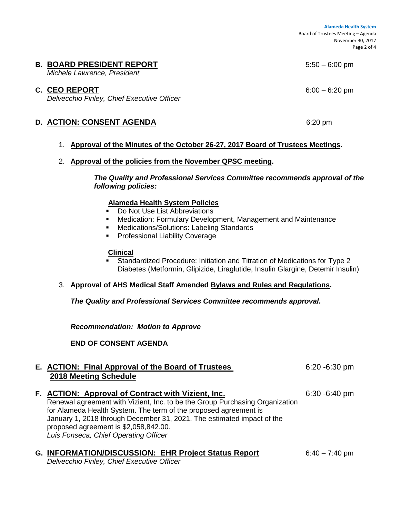**Alameda Health System**  Board of Trustees Meeting – Agenda November 30, 2017 Page 2 of 4

## **B. BOARD PRESIDENT REPORT 5:50 – 6:00 pm**

*Michele Lawrence, President*

## **C. CEO REPORT** 6:00 – 6:20 pm

*Delvecchio Finley, Chief Executive Officer*

## **D. ACTION: CONSENT AGENDA** 6:20 pm

## 1. **Approval of the Minutes of the October 26-27, 2017 Board of Trustees Meetings.**

#### 2. **Approval of the policies from the November QPSC meeting.**

*The Quality and Professional Services Committee recommends approval of the following policies:*

#### **Alameda Health System Policies**

- Do Not Use List Abbreviations
- Medication: Formulary Development, Management and Maintenance
- **Medications/Solutions: Labeling Standards**
- **Professional Liability Coverage**

#### **Clinical**

- Standardized Procedure: Initiation and Titration of Medications for Type 2 Diabetes (Metformin, Glipizide, Liraglutide, Insulin Glargine, Detemir Insulin)
- 3. **Approval of AHS Medical Staff Amended Bylaws and Rules and Regulations.**

*The Quality and Professional Services Committee recommends approval.*

*Recommendation: Motion to Approve*

**END OF CONSENT AGENDA**

#### **E. ACTION: Final Approval of the Board of Trustees** 6:20 -6:30 pm **2018 Meeting Schedule**

**F.** ACTION: Approval of Contract with Vizient, Inc. 6:30 -6:40 pm Renewal agreement with Vizient, Inc. to be the Group Purchasing Organization for Alameda Health System. The term of the proposed agreement is January 1, 2018 through December 31, 2021. The estimated impact of the proposed agreement is \$2,058,842.00. *Luis Fonseca, Chief Operating Officer*

# **G. INFORMATION/DISCUSSION: EHR Project Status Report** 6:40 – 7:40 pm

*Delvecchio Finley, Chief Executive Officer*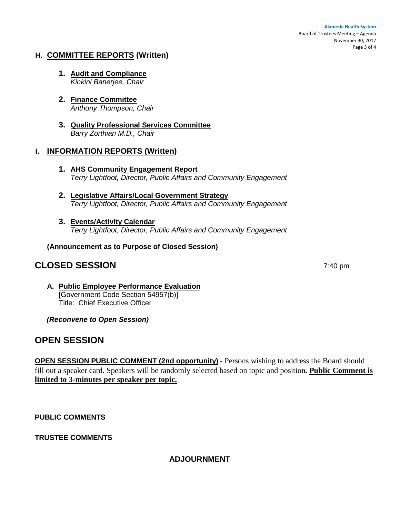**Alameda Health System**  Board of Trustees Meeting – Agenda November 30, 2017 Page 3 of 4

## **H. COMMITTEE REPORTS (Written)**

- **1. Audit and Compliance**  *Kinkini Banerjee, Chair*
- **2. Finance Committee** *Anthony Thompson, Chair*
- **3. Quality Professional Services Committee** *Barry Zorthian M.D., Chair*

## **I. INFORMATION REPORTS (Written)**

- **1. AHS Community Engagement Report** *Terry Lightfoot, Director, Public Affairs and Community Engagement*
- **2. Legislative Affairs/Local Government Strategy**  *Terry Lightfoot, Director, Public Affairs and Community Engagement*
- **3. Events/Activity Calendar**  *Terry Lightfoot, Director, Public Affairs and Community Engagement*

**(Announcement as to Purpose of Closed Session)**

# **CLOSED SESSION** 7:40 pm

**A. Public Employee Performance Evaluation** [Government Code Section 54957(b)] Title: Chief Executive Officer

*(Reconvene to Open Session)* 

# **OPEN SESSION**

**OPEN SESSION PUBLIC COMMENT (2nd opportunity)** - Persons wishing to address the Board should fill out a speaker card. Speakers will be randomly selected based on topic and position**. Public Comment is limited to 3-minutes per speaker per topic.**

**PUBLIC COMMENTS**

**TRUSTEE COMMENTS** 

# **ADJOURNMENT**